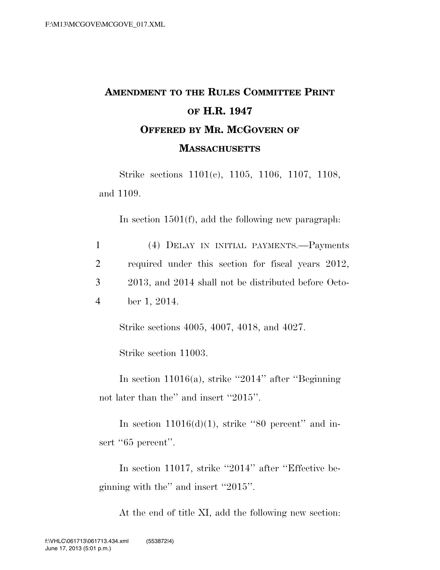## **AMENDMENT TO THE RULES COMMITTEE PRINT OF H.R. 1947 OFFERED BY MR. MCGOVERN OF MASSACHUSETTS**

Strike sections 1101(c), 1105, 1106, 1107, 1108, and 1109.

In section 1501(f), add the following new paragraph:

| $\mathbf{1}$   | (4) DELAY IN INITIAL PAYMENTS.—Payments              |
|----------------|------------------------------------------------------|
| 2              | required under this section for fiscal years 2012,   |
| 3 <sup>7</sup> | 2013, and 2014 shall not be distributed before Octo- |
| $\overline{4}$ | ber 1, 2014.                                         |

Strike sections 4005, 4007, 4018, and 4027.

Strike section 11003.

In section  $11016(a)$ , strike "2014" after "Beginning" not later than the" and insert "2015".

In section  $11016(d)(1)$ , strike "80 percent" and insert "65 percent".

In section 11017, strike ''2014'' after ''Effective beginning with the'' and insert ''2015''.

At the end of title XI, add the following new section: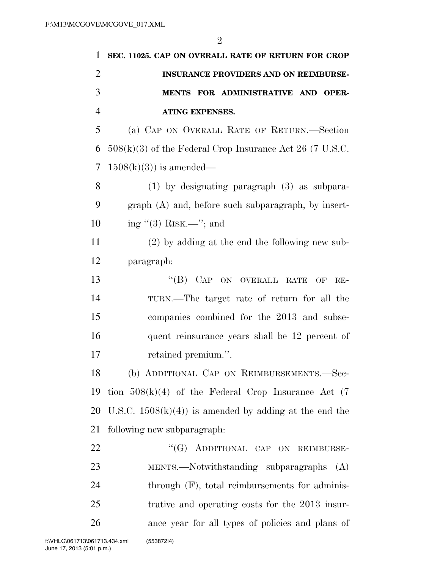| $\mathbf{1}$   | SEC. 11025. CAP ON OVERALL RATE OF RETURN FOR CROP         |
|----------------|------------------------------------------------------------|
| $\overline{2}$ | <b>INSURANCE PROVIDERS AND ON REIMBURSE-</b>               |
| 3              | MENTS FOR ADMINISTRATIVE AND OPER-                         |
| $\overline{4}$ | <b>ATING EXPENSES.</b>                                     |
| 5              | (a) CAP ON OVERALL RATE OF RETURN.—Section                 |
| 6              | $508(k)(3)$ of the Federal Crop Insurance Act 26 (7 U.S.C. |
| 7              | $1508(k)(3)$ is amended—                                   |
| 8              | $(1)$ by designating paragraph $(3)$ as subpara-           |
| 9              | $graph(A)$ and, before such subparagraph, by insert-       |
| 10             | ing $\cdot$ (3) RISK.—"; and                               |
| 11             | $(2)$ by adding at the end the following new sub-          |
| 12             | paragraph:                                                 |
| 13             | "(B) CAP ON OVERALL RATE<br>$\rm{OF}$<br>$RE-$             |
| 14             | TURN.—The target rate of return for all the                |
| 15             | companies combined for the 2013 and subse-                 |
| 16             | quent reinsurance years shall be 12 percent of             |
| 17             | retained premium.".                                        |
| 18             | (b) ADDITIONAL CAP ON REIMBURSEMENTS.—Sec-                 |
| 19             | tion $508(k)(4)$ of the Federal Crop Insurance Act (7)     |
| 20             | U.S.C. $1508(k)(4)$ is amended by adding at the end the    |
| 21             | following new subparagraph:                                |
| 22             | "(G) ADDITIONAL CAP ON REIMBURSE-                          |
| 23             | $MENTS.$ Notwithstanding subparagraphs $(A)$               |
| 24             | through $(F)$ , total reimbursements for adminis-          |
| 25             | trative and operating costs for the 2013 insur-            |
| 26             | ance year for all types of policies and plans of           |
|                |                                                            |